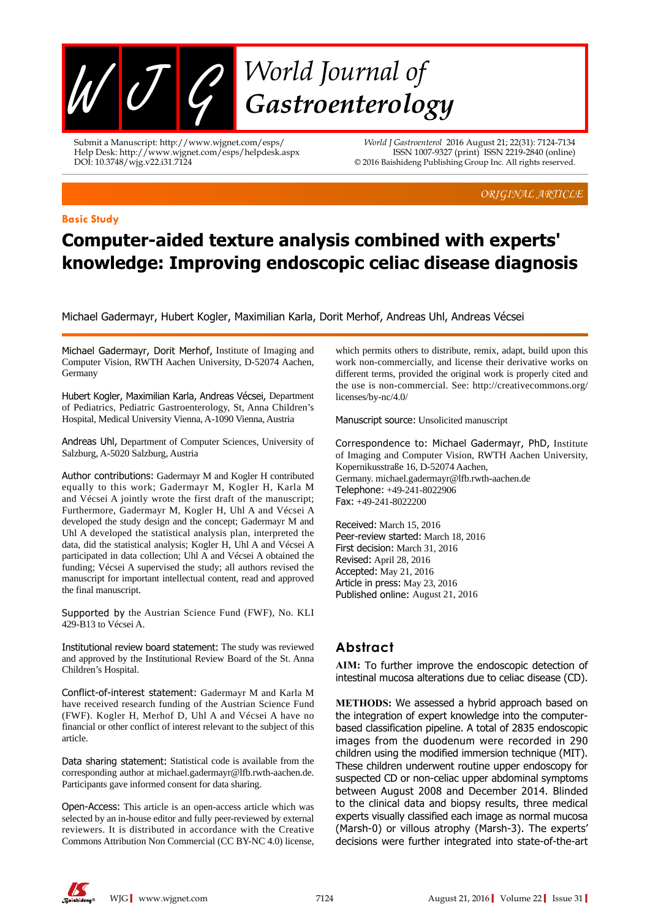

Submit a Manuscript: http://www.wjgnet.com/esps/ Help Desk: http://www.wjgnet.com/esps/helpdesk.aspx DOI: 10.3748/wjg.v22.i31.7124

*World J Gastroenterol* 2016 August 21; 22(31): 7124-7134 ISSN 1007-9327 (print) ISSN 2219-2840 (online) © 2016 Baishideng Publishing Group Inc. All rights reserved.

*ORIGINAL ARTICLE*

#### **Basic Study**

# **Computer-aided texture analysis combined with experts' knowledge: Improving endoscopic celiac disease diagnosis**

Michael Gadermayr, Hubert Kogler, Maximilian Karla, Dorit Merhof, Andreas Uhl, Andreas Vécsei

Michael Gadermayr, Dorit Merhof, Institute of Imaging and Computer Vision, RWTH Aachen University, D-52074 Aachen, Germany

Hubert Kogler, Maximilian Karla, Andreas Vécsei, Department of Pediatrics, Pediatric Gastroenterology, St, Anna Children's Hospital, Medical University Vienna, A-1090 Vienna, Austria

Andreas Uhl, Department of Computer Sciences, University of Salzburg, A-5020 Salzburg, Austria

Author contributions: Gadermayr M and Kogler H contributed equally to this work; Gadermayr M, Kogler H, Karla M and Vécsei A jointly wrote the first draft of the manuscript; Furthermore, Gadermayr M, Kogler H, Uhl A and Vécsei A developed the study design and the concept; Gadermayr M and Uhl A developed the statistical analysis plan, interpreted the data, did the statistical analysis; Kogler H, Uhl A and Vécsei A participated in data collection; Uhl A and Vécsei A obtained the funding; Vécsei A supervised the study; all authors revised the manuscript for important intellectual content, read and approved the final manuscript.

Supported by the Austrian Science Fund (FWF), No. KLI 429-B13 to Vécsei A.

Institutional review board statement: The study was reviewed and approved by the Institutional Review Board of the St. Anna Children's Hospital.

Conflict-of-interest statement: Gadermayr M and Karla M have received research funding of the Austrian Science Fund (FWF). Kogler H, Merhof D, Uhl A and Vécsei A have no financial or other conflict of interest relevant to the subject of this article.

Data sharing statement: Statistical code is available from the corresponding author at michael.gadermayr@lfb.rwth-aachen.de. Participants gave informed consent for data sharing.

Open-Access: This article is an open-access article which was selected by an in-house editor and fully peer-reviewed by external reviewers. It is distributed in accordance with the Creative Commons Attribution Non Commercial (CC BY-NC 4.0) license, which permits others to distribute, remix, adapt, build upon this work non-commercially, and license their derivative works on different terms, provided the original work is properly cited and the use is non-commercial. See: http://creativecommons.org/ licenses/by-nc/4.0/

Manuscript source: Unsolicited manuscript

Correspondence to: Michael Gadermayr, PhD, Institute of Imaging and Computer Vision, RWTH Aachen University, Kopernikusstraße 16, D-52074 Aachen, Germany. michael.gadermayr@lfb.rwth-aachen.de Telephone: +49-241-8022906 Fax: +49-241-8022200

Received: March 15, 2016 Peer-review started: March 18, 2016 First decision: March 31, 2016 Revised: April 28, 2016 Accepted: May 21, 2016 Article in press: May 23, 2016 Published online: August 21, 2016

# **Abstract**

**AIM:** To further improve the endoscopic detection of intestinal mucosa alterations due to celiac disease (CD).

**METHODS:** We assessed a hybrid approach based on the integration of expert knowledge into the computerbased classification pipeline. A total of 2835 endoscopic images from the duodenum were recorded in 290 children using the modified immersion technique (MIT). These children underwent routine upper endoscopy for suspected CD or non-celiac upper abdominal symptoms between August 2008 and December 2014. Blinded to the clinical data and biopsy results, three medical experts visually classified each image as normal mucosa (Marsh-0) or villous atrophy (Marsh-3). The experts' decisions were further integrated into state-of-the-art

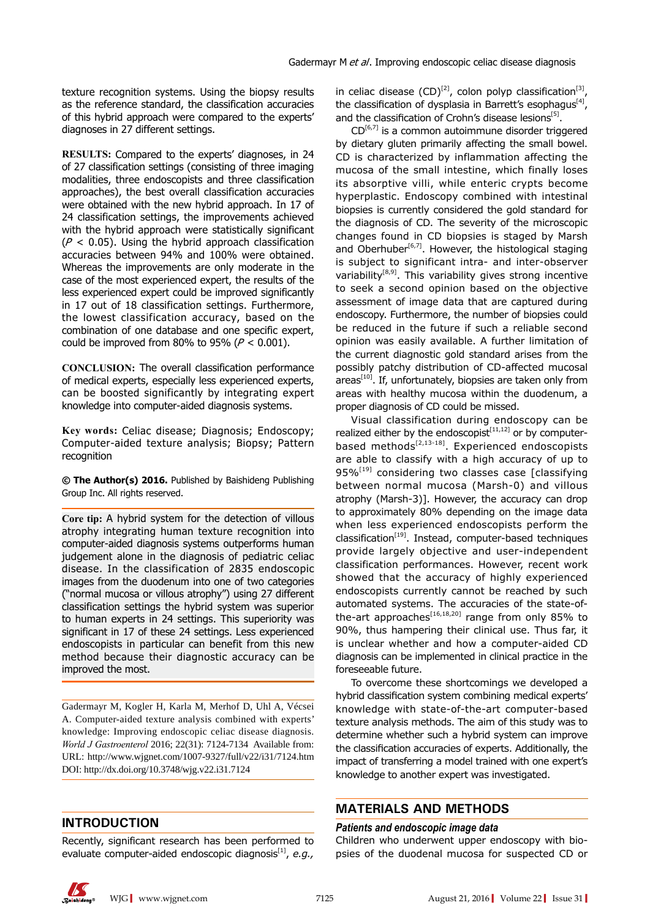texture recognition systems. Using the biopsy results as the reference standard, the classification accuracies of this hybrid approach were compared to the experts' diagnoses in 27 different settings.

**RESULTS:** Compared to the experts' diagnoses, in 24 of 27 classification settings (consisting of three imaging modalities, three endoscopists and three classification approaches), the best overall classification accuracies were obtained with the new hybrid approach. In 17 of 24 classification settings, the improvements achieved with the hybrid approach were statistically significant ( $P < 0.05$ ). Using the hybrid approach classification accuracies between 94% and 100% were obtained. Whereas the improvements are only moderate in the case of the most experienced expert, the results of the less experienced expert could be improved significantly in 17 out of 18 classification settings. Furthermore, the lowest classification accuracy, based on the combination of one database and one specific expert, could be improved from 80% to 95% ( $P < 0.001$ ).

**CONCLUSION:** The overall classification performance of medical experts, especially less experienced experts, can be boosted significantly by integrating expert knowledge into computer-aided diagnosis systems.

Key words: Celiac disease; Diagnosis; Endoscopy; computer-aided texture analysis; biopsy; pattern recognition

**© The Author(s) 2016.** Published by Baishideng Publishing Group Inc. All rights reserved.

**Core tip:** A hybrid system for the detection of villous atrophy integrating human texture recognition into computer-aided diagnosis systems outperforms human judgement alone in the diagnosis of pediatric celiac disease. In the classification of 2835 endoscopic images from the duodenum into one of two categories ("normal mucosa or villous atrophy") using 27 different classification settings the hybrid system was superior to human experts in 24 settings. This superiority was significant in 17 of these 24 settings. Less experienced endoscopists in particular can benefit from this new method because their diagnostic accuracy can be improved the most.

Gadermayr M, Kogler H, Karla M, Merhof D, Uhl A, Vécsei A. Computer-aided texture analysis combined with experts' knowledge: Improving endoscopic celiac disease diagnosis. *World J Gastroenterol* 2016; 22(31): 7124-7134 Available from: URL: http://www.wjgnet.com/1007-9327/full/v22/i31/7124.htm DOI: http://dx.doi.org/10.3748/wjg.v22.i31.7124

# **INTRODUCTION**

Recently, significant research has been performed to evaluate computer-aided endoscopic diagnosis<sup>[1]</sup>, *e.g.*, in celiac disease  $(CD)^{[2]}$ , colon polyp classification<sup>[3]</sup>, the classification of dysplasia in Barrett's esophagus $[4]$ , and the classification of Crohn's disease lesions<sup>[5]</sup>.

 $CD^{[6,7]}$  is a common autoimmune disorder triggered by dietary gluten primarily affecting the small bowel. CD is characterized by inflammation affecting the mucosa of the small intestine, which finally loses its absorptive villi, while enteric crypts become hyperplastic. Endoscopy combined with intestinal biopsies is currently considered the gold standard for the diagnosis of CD. The severity of the microscopic changes found in CD biopsies is staged by Marsh and Oberhuber<sup>[6,7]</sup>. However, the histological staging is subject to significant intra- and inter-observer variability<sup>[8,9]</sup>. This variability gives strong incentive to seek a second opinion based on the objective assessment of image data that are captured during endoscopy. Furthermore, the number of biopsies could be reduced in the future if such a reliable second opinion was easily available. A further limitation of the current diagnostic gold standard arises from the possibly patchy distribution of CD-affected mucosal  $area<sup>[10]</sup>$ . If, unfortunately, biopsies are taken only from areas with healthy mucosa within the duodenum, a proper diagnosis of CD could be missed.

Visual classification during endoscopy can be realized either by the endoscopist $[11,12]$  or by computerbased methods $[2,13-18]$ . Experienced endoscopists are able to classify with a high accuracy of up to  $95\%$ <sup>[19]</sup> considering two classes case [classifying] between normal mucosa (Marsh-0) and villous atrophy (Marsh-3)]. However, the accuracy can drop to approximately 80% depending on the image data when less experienced endoscopists perform the classification<sup>[19]</sup>. Instead, computer-based techniques provide largely objective and user-independent classification performances. However, recent work showed that the accuracy of highly experienced endoscopists currently cannot be reached by such automated systems. The accuracies of the state-ofthe-art approaches<sup>[16,18,20]</sup> range from only 85% to 90%, thus hampering their clinical use. Thus far, it is unclear whether and how a computer-aided CD diagnosis can be implemented in clinical practice in the foreseeable future.

To overcome these shortcomings we developed a hybrid classification system combining medical experts' knowledge with state-of-the-art computer-based texture analysis methods. The aim of this study was to determine whether such a hybrid system can improve the classification accuracies of experts. Additionally, the impact of transferring a model trained with one expert's knowledge to another expert was investigated.

# **MATERIALS AND METHODS**

### *Patients and endoscopic image data*

Children who underwent upper endoscopy with biopsies of the duodenal mucosa for suspected CD or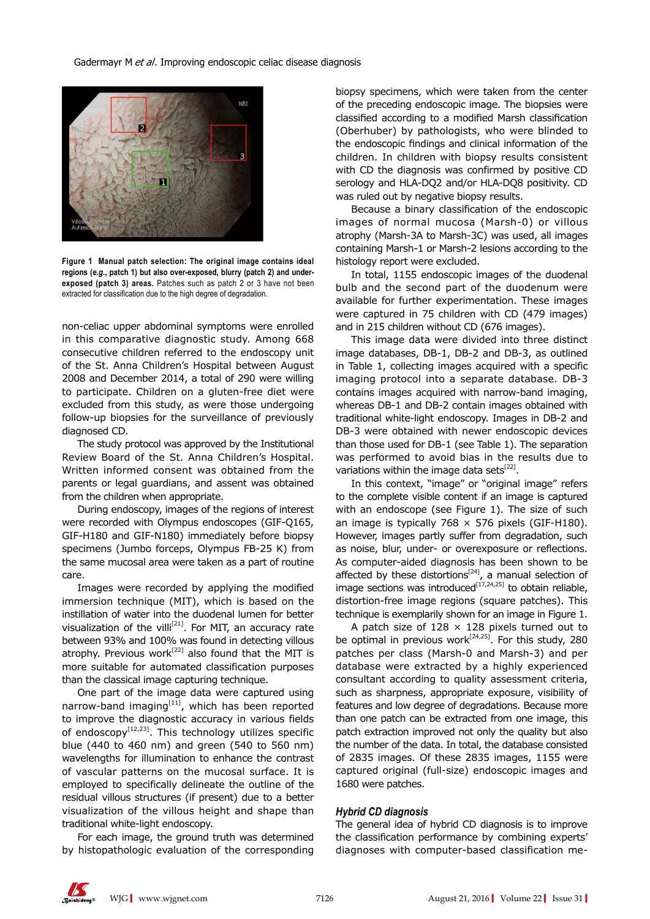

**Figure 1 Manual patch selection: The original image contains ideal regions (***e.g.***, patch 1) but also over-exposed, blurry (patch 2) and underexposed (patch 3) areas.** Patches such as patch 2 or 3 have not been extracted for classification due to the high degree of degradation.

non-celiac upper abdominal symptoms were enrolled in this comparative diagnostic study. Among 668 consecutive children referred to the endoscopy unit of the St. Anna Children's Hospital between August 2008 and December 2014, a total of 290 were willing to participate. Children on a gluten-free diet were excluded from this study, as were those undergoing follow-up biopsies for the surveillance of previously diagnosed CD.

The study protocol was approved by the Institutional Review Board of the St. Anna Children's Hospital. Written informed consent was obtained from the parents or legal guardians, and assent was obtained from the children when appropriate.

During endoscopy, images of the regions of interest were recorded with Olympus endoscopes (GIF-Q165, GIF-H180 and GIF-N180) immediately before biopsy specimens (Jumbo forceps, Olympus FB-25 K) from the same mucosal area were taken as a part of routine care.

Images were recorded by applying the modified immersion technique (MIT), which is based on the instillation of water into the duodenal lumen for better visualization of the villi<sup>[21]</sup>. For MIT, an accuracy rate between 93% and 100% was found in detecting villous atrophy. Previous work<sup>[22]</sup> also found that the MIT is more suitable for automated classification purposes than the classical image capturing technique.

One part of the image data were captured using narrow-band imaging $[11]$ , which has been reported to improve the diagnostic accuracy in various fields of endoscopy $[12,23]$ . This technology utilizes specific blue (440 to 460 nm) and green (540 to 560 nm) wavelengths for illumination to enhance the contrast of vascular patterns on the mucosal surface. It is employed to specifically delineate the outline of the residual villous structures (if present) due to a better visualization of the villous height and shape than traditional white-light endoscopy.

For each image, the ground truth was determined by histopathologic evaluation of the corresponding biopsy specimens, which were taken from the center of the preceding endoscopic image. The biopsies were classified according to a modified Marsh classification (Oberhuber) by pathologists, who were blinded to the endoscopic findings and clinical information of the children. In children with biopsy results consistent with CD the diagnosis was confirmed by positive CD serology and HLA-DQ2 and/or HLA-DQ8 positivity. CD was ruled out by negative biopsy results.

Because a binary classification of the endoscopic images of normal mucosa (Marsh-0) or villous atrophy (Marsh-3A to Marsh-3C) was used, all images containing Marsh-1 or Marsh-2 lesions according to the histology report were excluded.

In total, 1155 endoscopic images of the duodenal bulb and the second part of the duodenum were available for further experimentation. These images were captured in 75 children with CD (479 images) and in 215 children without CD (676 images).

This image data were divided into three distinct image databases, DB-1, DB-2 and DB-3, as outlined in Table 1, collecting images acquired with a specific imaging protocol into a separate database. DB-3 contains images acquired with narrow-band imaging, whereas DB-1 and DB-2 contain images obtained with traditional white-light endoscopy. Images in DB-2 and DB-3 were obtained with newer endoscopic devices than those used for DB-1 (see Table 1). The separation was performed to avoid bias in the results due to variations within the image data sets<sup>[22]</sup>.

In this context, "image" or "original image" refers to the complete visible content if an image is captured with an endoscope (see Figure 1). The size of such an image is typically  $768 \times 576$  pixels (GIF-H180). However, images partly suffer from degradation, such as noise, blur, under- or overexposure or reflections. As computer-aided diagnosis has been shown to be affected by these distortions<sup>[24]</sup>, a manual selection of image sections was introduced $[17,24,25]$  to obtain reliable, distortion-free image regions (square patches). This technique is exemplarily shown for an image in Figure 1.

A patch size of  $128 \times 128$  pixels turned out to be optimal in previous work<sup>[24,25]</sup>. For this study, 280 patches per class (Marsh-0 and Marsh-3) and per database were extracted by a highly experienced consultant according to quality assessment criteria, such as sharpness, appropriate exposure, visibility of features and low degree of degradations. Because more than one patch can be extracted from one image, this patch extraction improved not only the quality but also the number of the data. In total, the database consisted of 2835 images. Of these 2835 images, 1155 were captured original (full-size) endoscopic images and 1680 were patches.

### *Hybrid CD diagnosis*

The general idea of hybrid CD diagnosis is to improve the classification performance by combining experts' diagnoses with computer-based classification me-

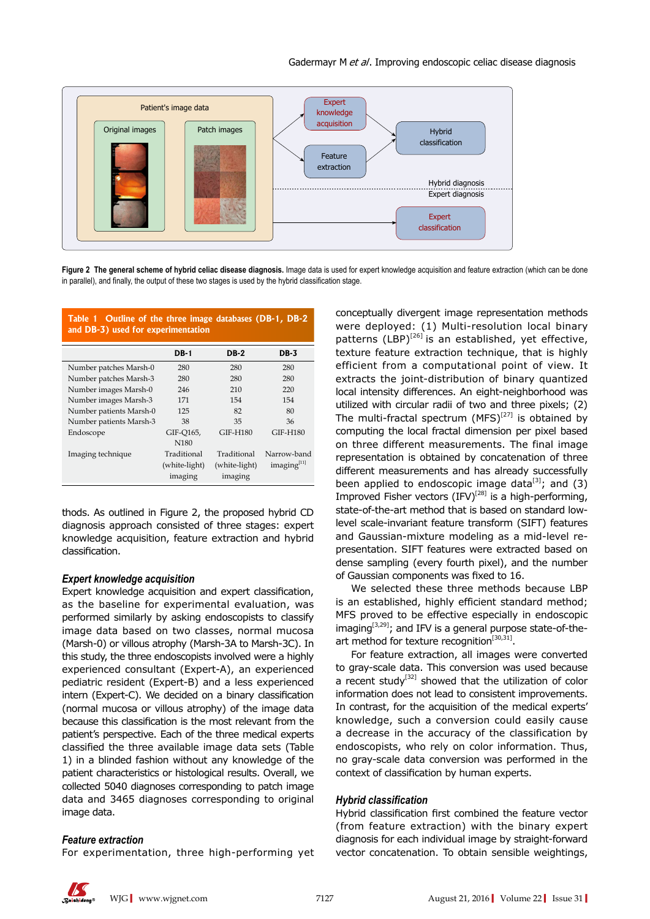

Figure 2 The general scheme of hybrid celiac disease diagnosis. Image data is used for expert knowledge acquisition and feature extraction (which can be done in parallel), and finally, the output of these two stages is used by the hybrid classification stage.

| Outline of the three image databases (DB-1, DB-2<br>Table 1<br>and DB-3) used for experimentation |               |             |  |  |  |  |  |  |  |  |  |
|---------------------------------------------------------------------------------------------------|---------------|-------------|--|--|--|--|--|--|--|--|--|
| $DB-1$                                                                                            | <b>DB-2</b>   | <b>DB-3</b> |  |  |  |  |  |  |  |  |  |
| 280                                                                                               | 280           | 280         |  |  |  |  |  |  |  |  |  |
| 280                                                                                               | 280           | 280         |  |  |  |  |  |  |  |  |  |
| 246                                                                                               | 210           | 220         |  |  |  |  |  |  |  |  |  |
| 171                                                                                               | 154           | 154         |  |  |  |  |  |  |  |  |  |
| 125                                                                                               | 82            | 80          |  |  |  |  |  |  |  |  |  |
| 38                                                                                                | 35            | 36          |  |  |  |  |  |  |  |  |  |
| GIF-0165,                                                                                         | GIF-H180      | GIF-H180    |  |  |  |  |  |  |  |  |  |
| N <sub>180</sub>                                                                                  |               |             |  |  |  |  |  |  |  |  |  |
| Traditional                                                                                       | Traditional   | Narrow-band |  |  |  |  |  |  |  |  |  |
| (white-light)                                                                                     | (white-light) | imaging[11] |  |  |  |  |  |  |  |  |  |
| imaging                                                                                           | imaging       |             |  |  |  |  |  |  |  |  |  |
|                                                                                                   |               |             |  |  |  |  |  |  |  |  |  |

thods. As outlined in Figure 2, the proposed hybrid CD diagnosis approach consisted of three stages: expert knowledge acquisition, feature extraction and hybrid classification.

#### *Expert knowledge acquisition*

Expert knowledge acquisition and expert classification, as the baseline for experimental evaluation, was performed similarly by asking endoscopists to classify image data based on two classes, normal mucosa (Marsh-0) or villous atrophy (Marsh-3A to Marsh-3C). In this study, the three endoscopists involved were a highly experienced consultant (Expert-A), an experienced pediatric resident (Expert-B) and a less experienced intern (Expert-C). We decided on a binary classification (normal mucosa or villous atrophy) of the image data because this classification is the most relevant from the patient's perspective. Each of the three medical experts classified the three available image data sets (Table 1) in a blinded fashion without any knowledge of the patient characteristics or histological results. Overall, we collected 5040 diagnoses corresponding to patch image data and 3465 diagnoses corresponding to original image data.

#### *Feature extraction*

For experimentation, three high-performing yet

conceptually divergent image representation methods were deployed: (1) Multi-resolution local binary patterns  $(LBP)^{[26]}$  is an established, yet effective, texture feature extraction technique, that is highly efficient from a computational point of view. It extracts the joint-distribution of binary quantized local intensity differences. An eight-neighborhood was utilized with circular radii of two and three pixels; (2) The multi-fractal spectrum  $(MFS)^{[27]}$  is obtained by computing the local fractal dimension per pixel based on three different measurements. The final image representation is obtained by concatenation of three different measurements and has already successfully been applied to endoscopic image data $[3]$ ; and (3) Improved Fisher vectors  $(IFV)^{[28]}$  is a high-performing, state-of-the-art method that is based on standard lowlevel scale-invariant feature transform (SIFT) features and Gaussian-mixture modeling as a mid-level representation. SIFT features were extracted based on dense sampling (every fourth pixel), and the number of Gaussian components was fixed to 16.

We selected these three methods because LBP is an established, highly efficient standard method; MFS proved to be effective especially in endoscopic  $imaging^{[3,29]}$ ; and IFV is a general purpose state-of-theart method for texture recognition<sup>[30,31]</sup>.

For feature extraction, all images were converted to gray-scale data. This conversion was used because a recent study<sup>[32]</sup> showed that the utilization of color information does not lead to consistent improvements. In contrast, for the acquisition of the medical experts' knowledge, such a conversion could easily cause a decrease in the accuracy of the classification by endoscopists, who rely on color information. Thus, no gray-scale data conversion was performed in the context of classification by human experts.

#### *Hybrid classification*

Hybrid classification first combined the feature vector (from feature extraction) with the binary expert diagnosis for each individual image by straight-forward vector concatenation. To obtain sensible weightings,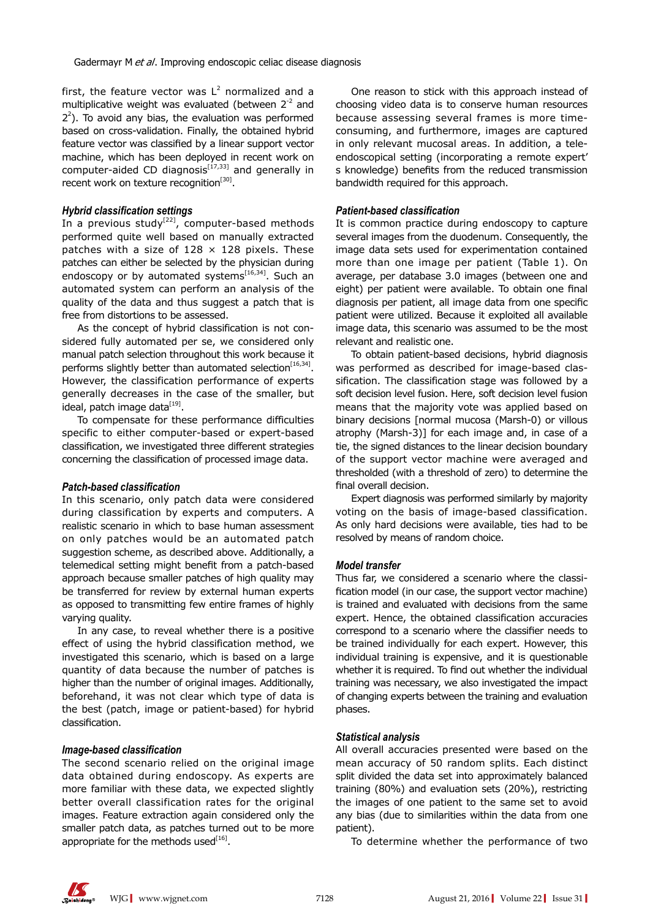first, the feature vector was  $L^2$  normalized and a multiplicative weight was evaluated (between  $2^{-2}$  and  $2<sup>2</sup>$ ). To avoid any bias, the evaluation was performed based on cross-validation. Finally, the obtained hybrid feature vector was classified by a linear support vector machine, which has been deployed in recent work on computer-aided CD diagnosis $[17,33]$  and generally in recent work on texture recognition $^{[30]}$ .

#### *Hybrid classification settings*

In a previous study<sup>[22]</sup>, computer-based methods performed quite well based on manually extracted patches with a size of  $128 \times 128$  pixels. These patches can either be selected by the physician during endoscopy or by automated systems<sup>[16,34]</sup>. Such an automated system can perform an analysis of the quality of the data and thus suggest a patch that is free from distortions to be assessed.

As the concept of hybrid classification is not considered fully automated per se, we considered only manual patch selection throughout this work because it performs slightly better than automated selection<sup>[16,34]</sup>. However, the classification performance of experts generally decreases in the case of the smaller, but ideal, patch image data $^{[19]}$ .

To compensate for these performance difficulties specific to either computer-based or expert-based classification, we investigated three different strategies concerning the classification of processed image data.

#### *Patch-based classification*

In this scenario, only patch data were considered during classification by experts and computers. A realistic scenario in which to base human assessment on only patches would be an automated patch suggestion scheme, as described above. Additionally, a telemedical setting might benefit from a patch-based approach because smaller patches of high quality may be transferred for review by external human experts as opposed to transmitting few entire frames of highly varying quality.

In any case, to reveal whether there is a positive effect of using the hybrid classification method, we investigated this scenario, which is based on a large quantity of data because the number of patches is higher than the number of original images. Additionally, beforehand, it was not clear which type of data is the best (patch, image or patient-based) for hybrid classification.

#### *Image-based classification*

The second scenario relied on the original image data obtained during endoscopy. As experts are more familiar with these data, we expected slightly better overall classification rates for the original images. Feature extraction again considered only the smaller patch data, as patches turned out to be more appropriate for the methods used $[16]$ .

One reason to stick with this approach instead of choosing video data is to conserve human resources because assessing several frames is more timeconsuming, and furthermore, images are captured in only relevant mucosal areas. In addition, a teleendoscopical setting (incorporating a remote expert' s knowledge) benefits from the reduced transmission bandwidth required for this approach.

#### *Patient-based classification*

It is common practice during endoscopy to capture several images from the duodenum. Consequently, the image data sets used for experimentation contained more than one image per patient (Table 1). On average, per database 3.0 images (between one and eight) per patient were available. To obtain one final diagnosis per patient, all image data from one specific patient were utilized. Because it exploited all available image data, this scenario was assumed to be the most relevant and realistic one.

To obtain patient-based decisions, hybrid diagnosis was performed as described for image-based classification. The classification stage was followed by a soft decision level fusion. Here, soft decision level fusion means that the majority vote was applied based on binary decisions [normal mucosa (Marsh-0) or villous atrophy (Marsh-3)] for each image and, in case of a tie, the signed distances to the linear decision boundary of the support vector machine were averaged and thresholded (with a threshold of zero) to determine the final overall decision.

Expert diagnosis was performed similarly by majority voting on the basis of image-based classification. As only hard decisions were available, ties had to be resolved by means of random choice.

#### *Model transfer*

Thus far, we considered a scenario where the classification model (in our case, the support vector machine) is trained and evaluated with decisions from the same expert. Hence, the obtained classification accuracies correspond to a scenario where the classifier needs to be trained individually for each expert. However, this individual training is expensive, and it is questionable whether it is required. To find out whether the individual training was necessary, we also investigated the impact of changing experts between the training and evaluation phases.

#### *Statistical analysis*

All overall accuracies presented were based on the mean accuracy of 50 random splits. Each distinct split divided the data set into approximately balanced training (80%) and evaluation sets (20%), restricting the images of one patient to the same set to avoid any bias (due to similarities within the data from one patient).

To determine whether the performance of two

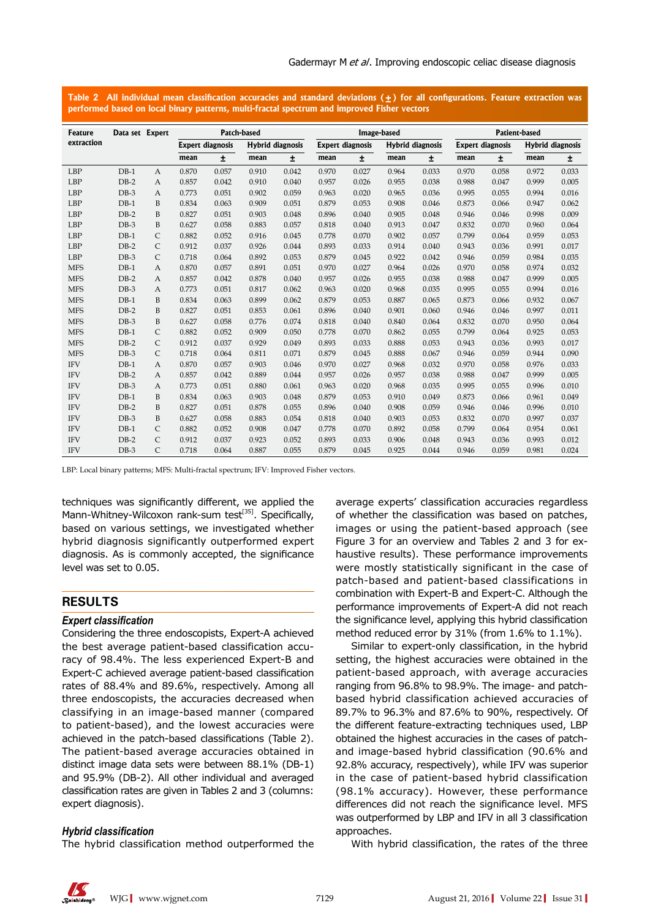**Table 2 All individual mean classification accuracies and standard deviations (±) for all configurations. Feature extraction was performed based on local binary patterns, multi-fractal spectrum and improved Fisher vectors**

| Feature    | Data set Expert |               |       | Patch-based             |       |                  | Image-based<br>Patient-based                |       |       |       |                                                    |       |       |       |  |
|------------|-----------------|---------------|-------|-------------------------|-------|------------------|---------------------------------------------|-------|-------|-------|----------------------------------------------------|-------|-------|-------|--|
| extraction |                 |               |       | <b>Expert diagnosis</b> |       | Hybrid diagnosis | <b>Expert diagnosis</b><br>Hybrid diagnosis |       |       |       | <b>Expert diagnosis</b><br><b>Hybrid diagnosis</b> |       |       |       |  |
|            |                 |               |       |                         |       |                  |                                             |       |       |       |                                                    |       |       |       |  |
|            |                 |               | mean  | $\pm$                   | mean  | ±.               | mean                                        | ±.    | mean  | ±.    | mean                                               | Ŧ.    | mean  | ±.    |  |
| <b>LBP</b> | $DB-1$          | A             | 0.870 | 0.057                   | 0.910 | 0.042            | 0.970                                       | 0.027 | 0.964 | 0.033 | 0.970                                              | 0.058 | 0.972 | 0.033 |  |
| <b>LBP</b> | $DB-2$          | A             | 0.857 | 0.042                   | 0.910 | 0.040            | 0.957                                       | 0.026 | 0.955 | 0.038 | 0.988                                              | 0.047 | 0.999 | 0.005 |  |
| <b>LBP</b> | $DB-3$          | A             | 0.773 | 0.051                   | 0.902 | 0.059            | 0.963                                       | 0.020 | 0.965 | 0.036 | 0.995                                              | 0.055 | 0.994 | 0.016 |  |
| <b>LBP</b> | $DB-1$          | B             | 0.834 | 0.063                   | 0.909 | 0.051            | 0.879                                       | 0.053 | 0.908 | 0.046 | 0.873                                              | 0.066 | 0.947 | 0.062 |  |
| <b>LBP</b> | $DB-2$          | B             | 0.827 | 0.051                   | 0.903 | 0.048            | 0.896                                       | 0.040 | 0.905 | 0.048 | 0.946                                              | 0.046 | 0.998 | 0.009 |  |
| <b>LBP</b> | $DB-3$          | B             | 0.627 | 0.058                   | 0.883 | 0.057            | 0.818                                       | 0.040 | 0.913 | 0.047 | 0.832                                              | 0.070 | 0.960 | 0.064 |  |
| <b>LBP</b> | $DB-1$          | C             | 0.882 | 0.052                   | 0.916 | 0.045            | 0.778                                       | 0.070 | 0.902 | 0.057 | 0.799                                              | 0.064 | 0.959 | 0.053 |  |
| <b>LBP</b> | $DB-2$          | C             | 0.912 | 0.037                   | 0.926 | 0.044            | 0.893                                       | 0.033 | 0.914 | 0.040 | 0.943                                              | 0.036 | 0.991 | 0.017 |  |
| <b>LBP</b> | $DB-3$          | $\mathcal{C}$ | 0.718 | 0.064                   | 0.892 | 0.053            | 0.879                                       | 0.045 | 0.922 | 0.042 | 0.946                                              | 0.059 | 0.984 | 0.035 |  |
| <b>MFS</b> | $DB-1$          | A             | 0.870 | 0.057                   | 0.891 | 0.051            | 0.970                                       | 0.027 | 0.964 | 0.026 | 0.970                                              | 0.058 | 0.974 | 0.032 |  |
| <b>MFS</b> | $DB-2$          | $\mathsf{A}$  | 0.857 | 0.042                   | 0.878 | 0.040            | 0.957                                       | 0.026 | 0.955 | 0.038 | 0.988                                              | 0.047 | 0.999 | 0.005 |  |
| <b>MFS</b> | $DB-3$          | $\mathsf{A}$  | 0.773 | 0.051                   | 0.817 | 0.062            | 0.963                                       | 0.020 | 0.968 | 0.035 | 0.995                                              | 0.055 | 0.994 | 0.016 |  |
| <b>MFS</b> | $DB-1$          | B             | 0.834 | 0.063                   | 0.899 | 0.062            | 0.879                                       | 0.053 | 0.887 | 0.065 | 0.873                                              | 0.066 | 0.932 | 0.067 |  |
| <b>MFS</b> | $DB-2$          | B             | 0.827 | 0.051                   | 0.853 | 0.061            | 0.896                                       | 0.040 | 0.901 | 0.060 | 0.946                                              | 0.046 | 0.997 | 0.011 |  |
| <b>MFS</b> | $DB-3$          | B             | 0.627 | 0.058                   | 0.776 | 0.074            | 0.818                                       | 0.040 | 0.840 | 0.064 | 0.832                                              | 0.070 | 0.950 | 0.064 |  |
| <b>MFS</b> | $DB-1$          | C             | 0.882 | 0.052                   | 0.909 | 0.050            | 0.778                                       | 0.070 | 0.862 | 0.055 | 0.799                                              | 0.064 | 0.925 | 0.053 |  |
| <b>MFS</b> | $DB-2$          | $\mathsf{C}$  | 0.912 | 0.037                   | 0.929 | 0.049            | 0.893                                       | 0.033 | 0.888 | 0.053 | 0.943                                              | 0.036 | 0.993 | 0.017 |  |
| <b>MFS</b> | $DB-3$          | $\mathsf{C}$  | 0.718 | 0.064                   | 0.811 | 0.071            | 0.879                                       | 0.045 | 0.888 | 0.067 | 0.946                                              | 0.059 | 0.944 | 0.090 |  |
| <b>IFV</b> | $DB-1$          | A             | 0.870 | 0.057                   | 0.903 | 0.046            | 0.970                                       | 0.027 | 0.968 | 0.032 | 0.970                                              | 0.058 | 0.976 | 0.033 |  |
| <b>IFV</b> | $DB-2$          | $\mathsf{A}$  | 0.857 | 0.042                   | 0.889 | 0.044            | 0.957                                       | 0.026 | 0.957 | 0.038 | 0.988                                              | 0.047 | 0.999 | 0.005 |  |
| <b>IFV</b> | $DB-3$          | A             | 0.773 | 0.051                   | 0.880 | 0.061            | 0.963                                       | 0.020 | 0.968 | 0.035 | 0.995                                              | 0.055 | 0.996 | 0.010 |  |
| <b>IFV</b> | $DB-1$          | B             | 0.834 | 0.063                   | 0.903 | 0.048            | 0.879                                       | 0.053 | 0.910 | 0.049 | 0.873                                              | 0.066 | 0.961 | 0.049 |  |
| <b>IFV</b> | $DB-2$          | B             | 0.827 | 0.051                   | 0.878 | 0.055            | 0.896                                       | 0.040 | 0.908 | 0.059 | 0.946                                              | 0.046 | 0.996 | 0.010 |  |
| <b>IFV</b> | $DB-3$          | B             | 0.627 | 0.058                   | 0.883 | 0.054            | 0.818                                       | 0.040 | 0.903 | 0.053 | 0.832                                              | 0.070 | 0.997 | 0.037 |  |
| <b>IFV</b> | $DB-1$          | C             | 0.882 | 0.052                   | 0.908 | 0.047            | 0.778                                       | 0.070 | 0.892 | 0.058 | 0.799                                              | 0.064 | 0.954 | 0.061 |  |
| <b>IFV</b> | $DB-2$          | C             | 0.912 | 0.037                   | 0.923 | 0.052            | 0.893                                       | 0.033 | 0.906 | 0.048 | 0.943                                              | 0.036 | 0.993 | 0.012 |  |
| <b>IFV</b> | $DB-3$          | $\mathsf{C}$  | 0.718 | 0.064                   | 0.887 | 0.055            | 0.879                                       | 0.045 | 0.925 | 0.044 | 0.946                                              | 0.059 | 0.981 | 0.024 |  |

LBP: Local binary patterns; MFS: Multi-fractal spectrum; IFV: Improved Fisher vectors.

techniques was significantly different, we applied the Mann-Whitney-Wilcoxon rank-sum test<sup>[35]</sup>. Specifically, based on various settings, we investigated whether hybrid diagnosis significantly outperformed expert diagnosis. As is commonly accepted, the significance level was set to 0.05.

## **RESULTS**

#### *Expert classification*

Considering the three endoscopists, Expert-A achieved the best average patient-based classification accuracy of 98.4%. The less experienced Expert-B and Expert-C achieved average patient-based classification rates of 88.4% and 89.6%, respectively. Among all three endoscopists, the accuracies decreased when classifying in an image-based manner (compared to patient-based), and the lowest accuracies were achieved in the patch-based classifications (Table 2). The patient-based average accuracies obtained in distinct image data sets were between 88.1% (DB-1) and 95.9% (DB-2). All other individual and averaged classification rates are given in Tables 2 and 3 (columns: expert diagnosis).

### *Hybrid classification*

The hybrid classification method outperformed the

average experts' classification accuracies regardless of whether the classification was based on patches, images or using the patient-based approach (see Figure 3 for an overview and Tables 2 and 3 for exhaustive results). These performance improvements were mostly statistically significant in the case of patch-based and patient-based classifications in combination with Expert-B and Expert-C. Although the performance improvements of Expert-A did not reach the significance level, applying this hybrid classification method reduced error by 31% (from 1.6% to 1.1%).

Similar to expert-only classification, in the hybrid setting, the highest accuracies were obtained in the patient-based approach, with average accuracies ranging from 96.8% to 98.9%. The image- and patchbased hybrid classification achieved accuracies of 89.7% to 96.3% and 87.6% to 90%, respectively. Of the different feature-extracting techniques used, LBP obtained the highest accuracies in the cases of patchand image-based hybrid classification (90.6% and 92.8% accuracy, respectively), while IFV was superior in the case of patient-based hybrid classification (98.1% accuracy). However, these performance differences did not reach the significance level. MFS was outperformed by LBP and IFV in all 3 classification approaches.

With hybrid classification, the rates of the three

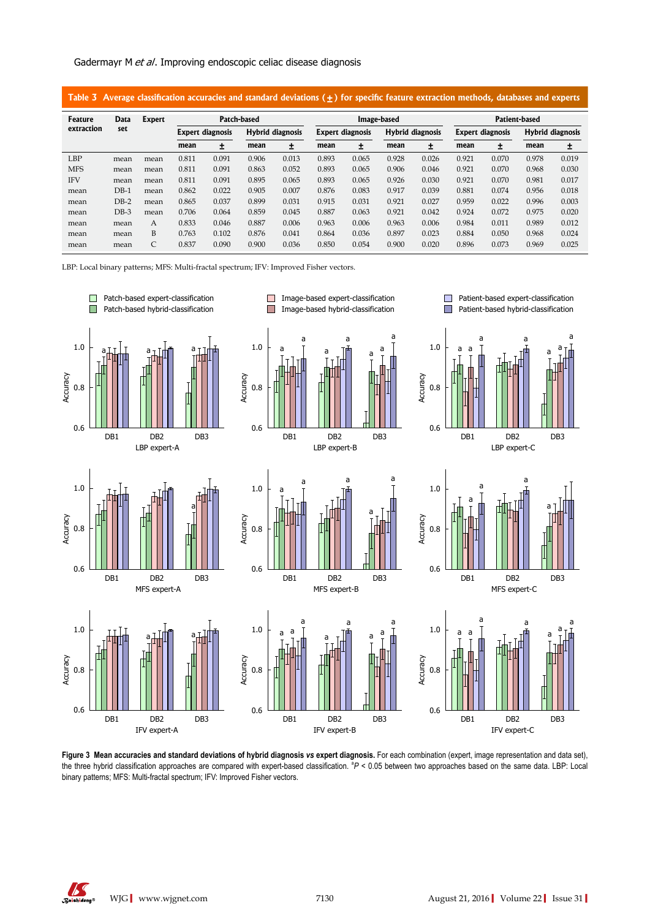#### Gadermayr M et al. Improving endoscopic celiac disease diagnosis

| Average classification accuracies and standard deviations $(+)$ for specific feature extraction methods, databases and experts<br>Table 3 |        |        |       |                         |                  |       |                                             |       |             |       |                         |                  |       |       |  |
|-------------------------------------------------------------------------------------------------------------------------------------------|--------|--------|-------|-------------------------|------------------|-------|---------------------------------------------|-------|-------------|-------|-------------------------|------------------|-------|-------|--|
| Feature                                                                                                                                   | Data   | Expert |       |                         | Patch-based      |       |                                             |       | Image-based |       | Patient-based           |                  |       |       |  |
| extraction                                                                                                                                | set    |        |       | <b>Expert diagnosis</b> | Hybrid diagnosis |       | Hybrid diagnosis<br><b>Expert diagnosis</b> |       |             |       | <b>Expert diagnosis</b> | Hybrid diagnosis |       |       |  |
|                                                                                                                                           |        |        | mean  | ±.                      | mean             | 土     | mean                                        | 土     | mean        | 土     | mean                    | 土                | mean  | ±.    |  |
| <b>LBP</b>                                                                                                                                | mean   | mean   | 0.811 | 0.091                   | 0.906            | 0.013 | 0.893                                       | 0.065 | 0.928       | 0.026 | 0.921                   | 0.070            | 0.978 | 0.019 |  |
| <b>MFS</b>                                                                                                                                | mean   | mean   | 0.811 | 0.091                   | 0.863            | 0.052 | 0.893                                       | 0.065 | 0.906       | 0.046 | 0.921                   | 0.070            | 0.968 | 0.030 |  |
| <b>IFV</b>                                                                                                                                | mean   | mean   | 0.811 | 0.091                   | 0.895            | 0.065 | 0.893                                       | 0.065 | 0.926       | 0.030 | 0.921                   | 0.070            | 0.981 | 0.017 |  |
| mean                                                                                                                                      | $DB-1$ | mean   | 0.862 | 0.022                   | 0.905            | 0.007 | 0.876                                       | 0.083 | 0.917       | 0.039 | 0.881                   | 0.074            | 0.956 | 0.018 |  |
| mean                                                                                                                                      | $DB-2$ | mean   | 0.865 | 0.037                   | 0.899            | 0.031 | 0.915                                       | 0.031 | 0.921       | 0.027 | 0.959                   | 0.022            | 0.996 | 0.003 |  |
| mean                                                                                                                                      | $DB-3$ | mean   | 0.706 | 0.064                   | 0.859            | 0.045 | 0.887                                       | 0.063 | 0.921       | 0.042 | 0.924                   | 0.072            | 0.975 | 0.020 |  |
| mean                                                                                                                                      | mean   | A      | 0.833 | 0.046                   | 0.887            | 0.006 | 0.963                                       | 0.006 | 0.963       | 0.006 | 0.984                   | 0.011            | 0.989 | 0.012 |  |
| mean                                                                                                                                      | mean   | B      | 0.763 | 0.102                   | 0.876            | 0.041 | 0.864                                       | 0.036 | 0.897       | 0.023 | 0.884                   | 0.050            | 0.968 | 0.024 |  |
| mean                                                                                                                                      | mean   | C      | 0.837 | 0.090                   | 0.900            | 0.036 | 0.850                                       | 0.054 | 0.900       | 0.020 | 0.896                   | 0.073            | 0.969 | 0.025 |  |

LBP: Local binary patterns; MFS: Multi-fractal spectrum; IFV: Improved Fisher vectors.



**Figure 3 Mean accuracies and standard deviations of hybrid diagnosis** *vs* **expert diagnosis.** For each combination (expert, image representation and data set), the three hybrid classification approaches are compared with expert-based classification. <sup>a</sup>P < 0.05 between two approaches based on the same data. LBP: Local binary patterns; MFS: Multi-fractal spectrum; IFV: Improved Fisher vectors.

K

WJG**|**www.wjgnet.com <sup>7130</sup> August 21, 2016**|**Volume 22**|**Issue 31**|**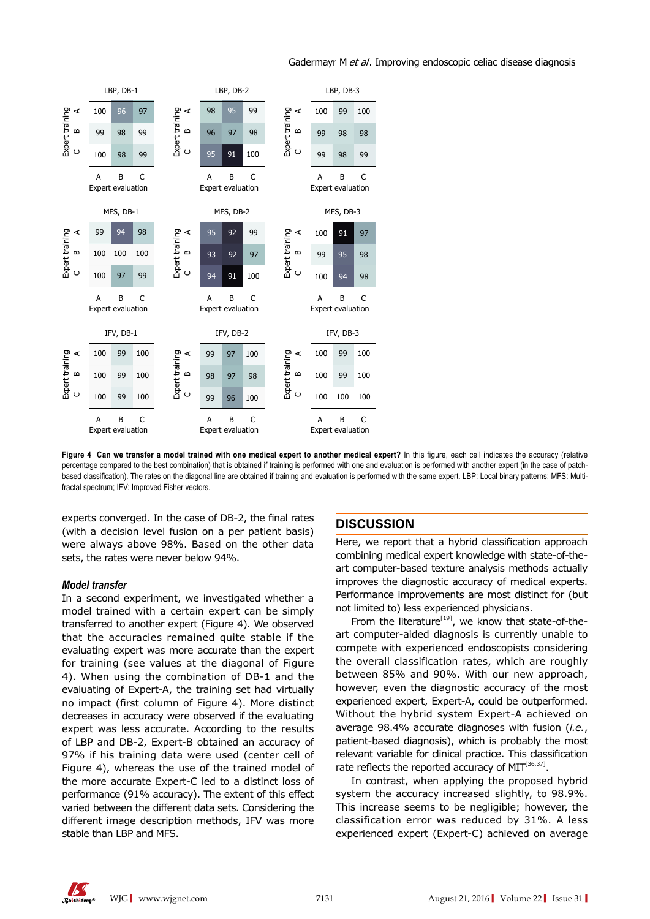

### Gadermayr M et al. Improving endoscopic celiac disease diagnosis

Figure 4 Can we transfer a model trained with one medical expert to another medical expert? In this figure, each cell indicates the accuracy (relative percentage compared to the best combination) that is obtained if training is performed with one and evaluation is performed with another expert (in the case of patchbased classification). The rates on the diagonal line are obtained if training and evaluation is performed with the same expert. LBP: Local binary patterns; MFS: Multifractal spectrum; IFV: Improved Fisher vectors.

experts converged. In the case of DB-2, the final rates (with a decision level fusion on a per patient basis) were always above 98%. Based on the other data sets, the rates were never below 94%.

#### *Model transfer*

In a second experiment, we investigated whether a model trained with a certain expert can be simply transferred to another expert (Figure 4). We observed that the accuracies remained quite stable if the evaluating expert was more accurate than the expert for training (see values at the diagonal of Figure 4). When using the combination of DB-1 and the evaluating of Expert-A, the training set had virtually no impact (first column of Figure 4). More distinct decreases in accuracy were observed if the evaluating expert was less accurate. According to the results of LBP and DB-2, Expert-B obtained an accuracy of 97% if his training data were used (center cell of Figure 4), whereas the use of the trained model of the more accurate Expert-C led to a distinct loss of performance (91% accuracy). The extent of this effect varied between the different data sets. Considering the different image description methods, IFV was more stable than LBP and MFS.

# **DISCUSSION**

Here, we report that a hybrid classification approach combining medical expert knowledge with state-of-theart computer-based texture analysis methods actually improves the diagnostic accuracy of medical experts. Performance improvements are most distinct for (but not limited to) less experienced physicians.

From the literature $[19]$ , we know that state-of-theart computer-aided diagnosis is currently unable to compete with experienced endoscopists considering the overall classification rates, which are roughly between 85% and 90%. With our new approach, however, even the diagnostic accuracy of the most experienced expert, Expert-A, could be outperformed. Without the hybrid system Expert-A achieved on average 98.4% accurate diagnoses with fusion (*i.e.*, patient-based diagnosis), which is probably the most relevant variable for clinical practice. This classification rate reflects the reported accuracy of  $MIT<sup>[36,37]</sup>$ .

In contrast, when applying the proposed hybrid system the accuracy increased slightly, to 98.9%. This increase seems to be negligible; however, the classification error was reduced by 31%. A less experienced expert (Expert-C) achieved on average

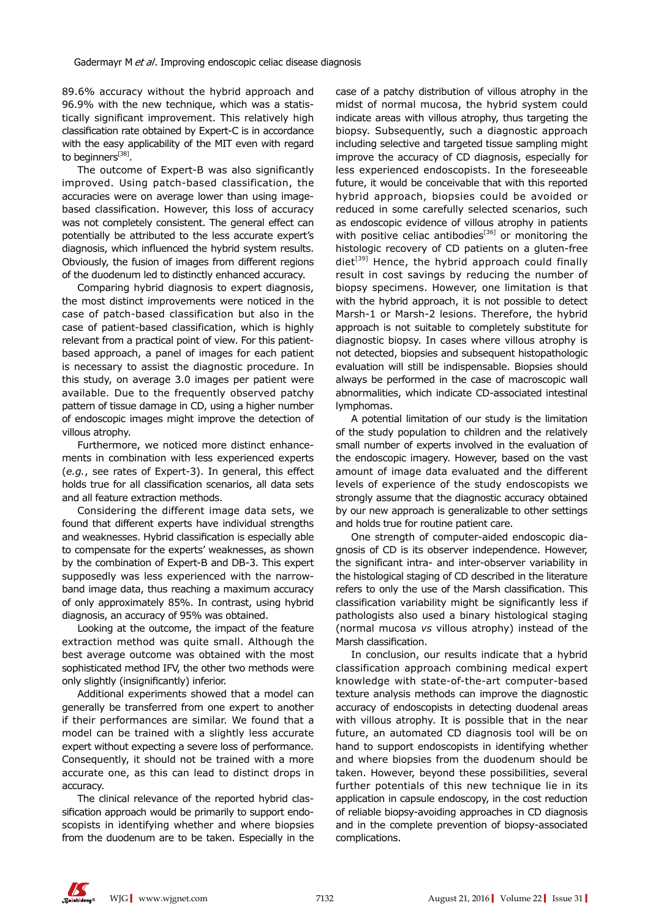89.6% accuracy without the hybrid approach and 96.9% with the new technique, which was a statistically significant improvement. This relatively high classification rate obtained by Expert-C is in accordance with the easy applicability of the MIT even with regard to beginners<sup>[38]</sup>.

The outcome of Expert-B was also significantly improved. Using patch-based classification, the accuracies were on average lower than using imagebased classification. However, this loss of accuracy was not completely consistent. The general effect can potentially be attributed to the less accurate expert's diagnosis, which influenced the hybrid system results. Obviously, the fusion of images from different regions of the duodenum led to distinctly enhanced accuracy.

Comparing hybrid diagnosis to expert diagnosis, the most distinct improvements were noticed in the case of patch-based classification but also in the case of patient-based classification, which is highly relevant from a practical point of view. For this patientbased approach, a panel of images for each patient is necessary to assist the diagnostic procedure. In this study, on average 3.0 images per patient were available. Due to the frequently observed patchy pattern of tissue damage in CD, using a higher number of endoscopic images might improve the detection of villous atrophy.

Furthermore, we noticed more distinct enhancements in combination with less experienced experts (*e.g.*, see rates of Expert-3). In general, this effect holds true for all classification scenarios, all data sets and all feature extraction methods.

Considering the different image data sets, we found that different experts have individual strengths and weaknesses. Hybrid classification is especially able to compensate for the experts' weaknesses, as shown by the combination of Expert-B and DB-3. This expert supposedly was less experienced with the narrowband image data, thus reaching a maximum accuracy of only approximately 85%. In contrast, using hybrid diagnosis, an accuracy of 95% was obtained.

Looking at the outcome, the impact of the feature extraction method was quite small. Although the best average outcome was obtained with the most sophisticated method IFV, the other two methods were only slightly (insignificantly) inferior.

Additional experiments showed that a model can generally be transferred from one expert to another if their performances are similar. We found that a model can be trained with a slightly less accurate expert without expecting a severe loss of performance. Consequently, it should not be trained with a more accurate one, as this can lead to distinct drops in accuracy.

The clinical relevance of the reported hybrid classification approach would be primarily to support endoscopists in identifying whether and where biopsies from the duodenum are to be taken. Especially in the case of a patchy distribution of villous atrophy in the midst of normal mucosa, the hybrid system could indicate areas with villous atrophy, thus targeting the biopsy. Subsequently, such a diagnostic approach including selective and targeted tissue sampling might improve the accuracy of CD diagnosis, especially for less experienced endoscopists. In the foreseeable future, it would be conceivable that with this reported hybrid approach, biopsies could be avoided or reduced in some carefully selected scenarios, such as endoscopic evidence of villous atrophy in patients with positive celiac antibodies<sup>[36]</sup> or monitoring the histologic recovery of CD patients on a gluten-free  $diet<sup>[39]</sup>$  Hence, the hybrid approach could finally result in cost savings by reducing the number of biopsy specimens. However, one limitation is that with the hybrid approach, it is not possible to detect Marsh-1 or Marsh-2 lesions. Therefore, the hybrid approach is not suitable to completely substitute for diagnostic biopsy. In cases where villous atrophy is not detected, biopsies and subsequent histopathologic evaluation will still be indispensable. Biopsies should always be performed in the case of macroscopic wall abnormalities, which indicate CD-associated intestinal lymphomas.

A potential limitation of our study is the limitation of the study population to children and the relatively small number of experts involved in the evaluation of the endoscopic imagery. However, based on the vast amount of image data evaluated and the different levels of experience of the study endoscopists we strongly assume that the diagnostic accuracy obtained by our new approach is generalizable to other settings and holds true for routine patient care.

One strength of computer-aided endoscopic diagnosis of CD is its observer independence. However, the significant intra- and inter-observer variability in the histological staging of CD described in the literature refers to only the use of the Marsh classification. This classification variability might be significantly less if pathologists also used a binary histological staging (normal mucosa *vs* villous atrophy) instead of the Marsh classification.

In conclusion, our results indicate that a hybrid classification approach combining medical expert knowledge with state-of-the-art computer-based texture analysis methods can improve the diagnostic accuracy of endoscopists in detecting duodenal areas with villous atrophy. It is possible that in the near future, an automated CD diagnosis tool will be on hand to support endoscopists in identifying whether and where biopsies from the duodenum should be taken. However, beyond these possibilities, several further potentials of this new technique lie in its application in capsule endoscopy, in the cost reduction of reliable biopsy-avoiding approaches in CD diagnosis and in the complete prevention of biopsy-associated complications.

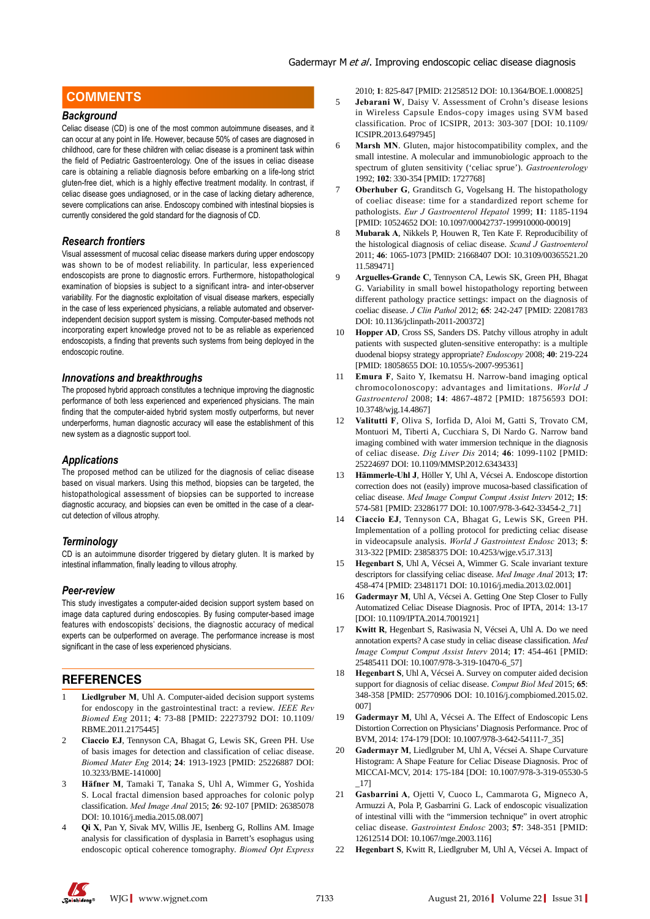# **COMMENTS COMMENTS**

#### *Background*

Celiac disease (CD) is one of the most common autoimmune diseases, and it can occur at any point in life. However, because 50% of cases are diagnosed in childhood, care for these children with celiac disease is a prominent task within the field of Pediatric Gastroenterology. One of the issues in celiac disease care is obtaining a reliable diagnosis before embarking on a life-long strict gluten-free diet, which is a highly effective treatment modality. In contrast, if celiac disease goes undiagnosed, or in the case of lacking dietary adherence, severe complications can arise. Endoscopy combined with intestinal biopsies is currently considered the gold standard for the diagnosis of CD.

#### *Research frontiers*

Visual assessment of mucosal celiac disease markers during upper endoscopy was shown to be of modest reliability. In particular, less experienced endoscopists are prone to diagnostic errors. Furthermore, histopathological examination of biopsies is subject to a significant intra- and inter-observer variability. For the diagnostic exploitation of visual disease markers, especially in the case of less experienced physicians, a reliable automated and observerindependent decision support system is missing. Computer-based methods not incorporating expert knowledge proved not to be as reliable as experienced endoscopists, a finding that prevents such systems from being deployed in the endoscopic routine.

#### *Innovations and breakthroughs*

The proposed hybrid approach constitutes a technique improving the diagnostic performance of both less experienced and experienced physicians. The main finding that the computer-aided hybrid system mostly outperforms, but never underperforms, human diagnostic accuracy will ease the establishment of this new system as a diagnostic support tool.

#### *Applications*

The proposed method can be utilized for the diagnosis of celiac disease based on visual markers. Using this method, biopsies can be targeted, the histopathological assessment of biopsies can be supported to increase diagnostic accuracy, and biopsies can even be omitted in the case of a clearcut detection of villous atrophy.

#### *Terminology*

CD is an autoimmune disorder triggered by dietary gluten. It is marked by intestinal inflammation, finally leading to villous atrophy.

#### *Peer-review*

This study investigates a computer-aided decision support system based on image data captured during endoscopies. By fusing computer-based image features with endoscopists' decisions, the diagnostic accuracy of medical experts can be outperformed on average. The performance increase is most significant in the case of less experienced physicians.

## **REFERENCES**

- Liedlgruber M, Uhl A. Computer-aided decision support systems for endoscopy in the gastrointestinal tract: a review. *IEEE Rev Biomed Eng* 2011; **4**: 73-88 [PMID: 22273792 DOI: 10.1109/ RBME.2011.2175445]
- 2 **Ciaccio EJ**, Tennyson CA, Bhagat G, Lewis SK, Green PH. Use of basis images for detection and classification of celiac disease. *Biomed Mater Eng* 2014; **24**: 1913-1923 [PMID: 25226887 DOI: 10.3233/BME-141000]
- 3 **Häfner M**, Tamaki T, Tanaka S, Uhl A, Wimmer G, Yoshida S. Local fractal dimension based approaches for colonic polyp classification. *Med Image Anal* 2015; **26**: 92-107 [PMID: 26385078 DOI: 10.1016/j.media.2015.08.007]
- 4 **Qi X**, Pan Y, Sivak MV, Willis JE, Isenberg G, Rollins AM. Image analysis for classification of dysplasia in Barrett's esophagus using endoscopic optical coherence tomography. *Biomed Opt Express*

2010; **1**: 825-847 [PMID: 21258512 DOI: 10.1364/BOE.1.000825]

- 5 **Jebarani W**, Daisy V. Assessment of Crohn's disease lesions in Wireless Capsule Endos-copy images using SVM based classification. Proc of ICSIPR, 2013: 303-307 [DOI: 10.1109/ ICSIPR.2013.6497945]
- 6 **Marsh MN**. Gluten, major histocompatibility complex, and the small intestine. A molecular and immunobiologic approach to the spectrum of gluten sensitivity ('celiac sprue'). *Gastroenterology* 1992; **102**: 330-354 [PMID: 1727768]
- **Oberhuber G**, Granditsch G, Vogelsang H. The histopathology of coeliac disease: time for a standardized report scheme for pathologists. *Eur J Gastroenterol Hepatol* 1999; **11**: 1185-1194 [PMID: 10524652 DOI: 10.1097/00042737-199910000-00019]
- 8 **Mubarak A**, Nikkels P, Houwen R, Ten Kate F. Reproducibility of the histological diagnosis of celiac disease. *Scand J Gastroenterol* 2011; **46**: 1065-1073 [PMID: 21668407 DOI: 10.3109/00365521.20 11.589471]
- 9 **Arguelles-Grande C**, Tennyson CA, Lewis SK, Green PH, Bhagat G. Variability in small bowel histopathology reporting between different pathology practice settings: impact on the diagnosis of coeliac disease. *J Clin Pathol* 2012; **65**: 242-247 [PMID: 22081783 DOI: 10.1136/jclinpath-2011-200372]
- 10 **Hopper AD**, Cross SS, Sanders DS. Patchy villous atrophy in adult patients with suspected gluten-sensitive enteropathy: is a multiple duodenal biopsy strategy appropriate? *Endoscopy* 2008; **40**: 219-224 [PMID: 18058655 DOI: 10.1055/s-2007-995361]
- 11 **Emura F**, Saito Y, Ikematsu H. Narrow-band imaging optical chromocolonoscopy: advantages and limitations. *World J Gastroenterol* 2008; **14**: 4867-4872 [PMID: 18756593 DOI: 10.3748/wjg.14.4867]
- 12 **Valitutti F**, Oliva S, Iorfida D, Aloi M, Gatti S, Trovato CM, Montuori M, Tiberti A, Cucchiara S, Di Nardo G. Narrow band imaging combined with water immersion technique in the diagnosis of celiac disease. *Dig Liver Dis* 2014; **46**: 1099-1102 [PMID: 25224697 DOI: 10.1109/MMSP.2012.6343433]
- 13 **Hämmerle-Uhl J**, Höller Y, Uhl A, Vécsei A. Endoscope distortion correction does not (easily) improve mucosa-based classification of celiac disease. *Med Image Comput Comput Assist Interv* 2012; **15**: 574-581 [PMID: 23286177 DOI: 10.1007/978-3-642-33454-2\_71]
- 14 **Ciaccio EJ**, Tennyson CA, Bhagat G, Lewis SK, Green PH. Implementation of a polling protocol for predicting celiac disease in videocapsule analysis. *World J Gastrointest Endosc* 2013; **5**: 313-322 [PMID: 23858375 DOI: 10.4253/wjge.v5.i7.313]
- 15 **Hegenbart S**, Uhl A, Vécsei A, Wimmer G. Scale invariant texture descriptors for classifying celiac disease. *Med Image Anal* 2013; **17**: 458-474 [PMID: 23481171 DOI: 10.1016/j.media.2013.02.001]
- 16 **Gadermayr M**, Uhl A, Vécsei A. Getting One Step Closer to Fully Automatized Celiac Disease Diagnosis. Proc of IPTA, 2014: 13-17 [DOI: 10.1109/IPTA.2014.7001921]
- 17 **Kwitt R**, Hegenbart S, Rasiwasia N, Vécsei A, Uhl A. Do we need annotation experts? A case study in celiac disease classification. *Med Image Comput Comput Assist Interv* 2014; **17**: 454-461 [PMID: 25485411 DOI: 10.1007/978-3-319-10470-6\_57]
- 18 **Hegenbart S**, Uhl A, Vécsei A. Survey on computer aided decision support for diagnosis of celiac disease. *Comput Biol Med* 2015; **65**: 348-358 [PMID: 25770906 DOI: 10.1016/j.compbiomed.2015.02. 007]
- 19 **Gadermayr M**, Uhl A, Vécsei A. The Effect of Endoscopic Lens Distortion Correction on Physicians' Diagnosis Performance. Proc of BVM, 2014: 174-179 [DOI: 10.1007/978-3-642-54111-7\_35]
- 20 **Gadermayr M**, Liedlgruber M, Uhl A, Vécsei A. Shape Curvature Histogram: A Shape Feature for Celiac Disease Diagnosis. Proc of MICCAI-MCV, 2014: 175-184 [DOI: 10.1007/978-3-319-05530-5 \_17]
- 21 **Gasbarrini A**, Ojetti V, Cuoco L, Cammarota G, Migneco A, Armuzzi A, Pola P, Gasbarrini G. Lack of endoscopic visualization of intestinal villi with the "immersion technique" in overt atrophic celiac disease. *Gastrointest Endosc* 2003; **57**: 348-351 [PMID: 12612514 DOI: 10.1067/mge.2003.116]
- 22 **Hegenbart S**, Kwitt R, Liedlgruber M, Uhl A, Vécsei A. Impact of